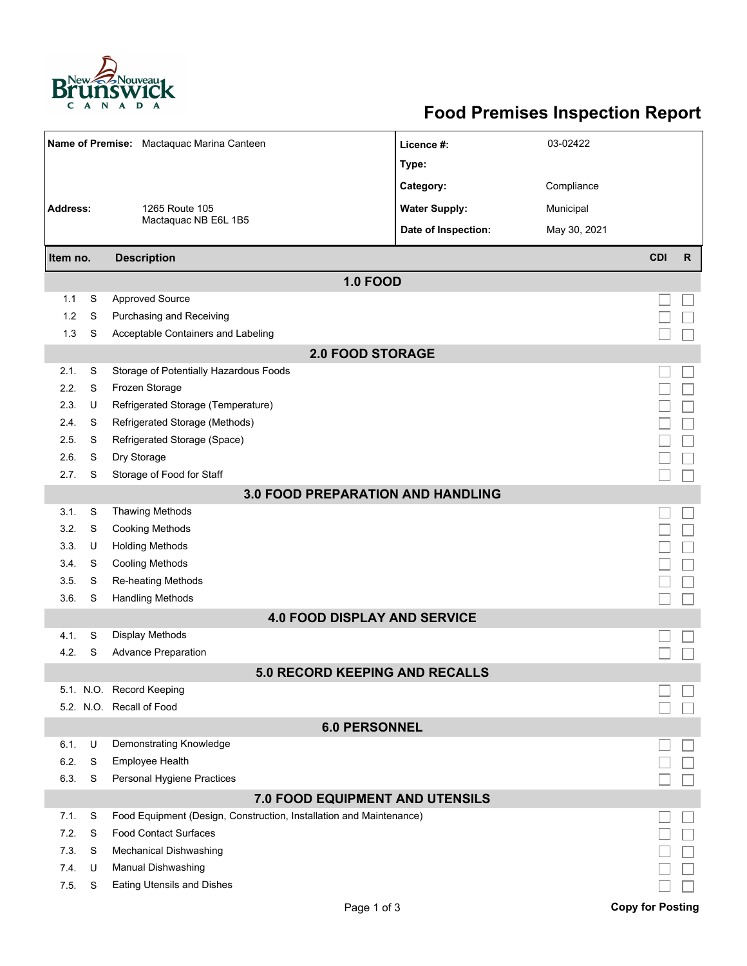

## **Food Premises Inspection Report**

| Name of Premise: Mactaquac Marina Canteen |                 |                                                                     | Licence #:           | 03-02422     |                         |              |  |  |  |  |
|-------------------------------------------|-----------------|---------------------------------------------------------------------|----------------------|--------------|-------------------------|--------------|--|--|--|--|
|                                           |                 |                                                                     | Type:                |              |                         |              |  |  |  |  |
|                                           |                 |                                                                     | Category:            | Compliance   |                         |              |  |  |  |  |
| Address:                                  |                 | 1265 Route 105                                                      | <b>Water Supply:</b> | Municipal    |                         |              |  |  |  |  |
|                                           |                 | Mactaquac NB E6L 1B5                                                | Date of Inspection:  | May 30, 2021 |                         |              |  |  |  |  |
|                                           |                 |                                                                     |                      |              |                         |              |  |  |  |  |
| Item no.                                  |                 | <b>Description</b>                                                  |                      |              | <b>CDI</b>              | $\mathsf{R}$ |  |  |  |  |
|                                           | <b>1.0 FOOD</b> |                                                                     |                      |              |                         |              |  |  |  |  |
| 1.1                                       | S               | <b>Approved Source</b>                                              |                      |              |                         |              |  |  |  |  |
| 1.2                                       | S               | Purchasing and Receiving                                            |                      |              |                         |              |  |  |  |  |
| 1.3                                       | S               | Acceptable Containers and Labeling                                  |                      |              |                         |              |  |  |  |  |
| <b>2.0 FOOD STORAGE</b>                   |                 |                                                                     |                      |              |                         |              |  |  |  |  |
| 2.1.                                      | S               | Storage of Potentially Hazardous Foods                              |                      |              |                         |              |  |  |  |  |
| 2.2.                                      | S               | Frozen Storage                                                      |                      |              |                         |              |  |  |  |  |
| 2.3.                                      | U               | Refrigerated Storage (Temperature)                                  |                      |              |                         |              |  |  |  |  |
| 2.4.                                      | S               | Refrigerated Storage (Methods)                                      |                      |              |                         |              |  |  |  |  |
| 2.5.                                      | S               | Refrigerated Storage (Space)                                        |                      |              |                         |              |  |  |  |  |
| 2.6.                                      | S               | Dry Storage                                                         |                      |              |                         |              |  |  |  |  |
| 2.7.                                      | S               | Storage of Food for Staff                                           |                      |              |                         |              |  |  |  |  |
| <b>3.0 FOOD PREPARATION AND HANDLING</b>  |                 |                                                                     |                      |              |                         |              |  |  |  |  |
| 3.1.                                      | S               | <b>Thawing Methods</b>                                              |                      |              |                         |              |  |  |  |  |
| 3.2.                                      | S               | <b>Cooking Methods</b>                                              |                      |              |                         |              |  |  |  |  |
| 3.3.                                      | U               | <b>Holding Methods</b>                                              |                      |              |                         |              |  |  |  |  |
| 3.4.                                      | S               | <b>Cooling Methods</b>                                              |                      |              |                         |              |  |  |  |  |
| 3.5.                                      | S               | <b>Re-heating Methods</b>                                           |                      |              |                         |              |  |  |  |  |
| 3.6.                                      | S               | <b>Handling Methods</b>                                             |                      |              |                         |              |  |  |  |  |
|                                           |                 | <b>4.0 FOOD DISPLAY AND SERVICE</b>                                 |                      |              |                         |              |  |  |  |  |
| 4.1.                                      | S               | <b>Display Methods</b>                                              |                      |              |                         |              |  |  |  |  |
| 4.2.                                      | S               | <b>Advance Preparation</b>                                          |                      |              |                         |              |  |  |  |  |
|                                           |                 | <b>5.0 RECORD KEEPING AND RECALLS</b>                               |                      |              |                         |              |  |  |  |  |
|                                           |                 | 5.1. N.O. Record Keeping                                            |                      |              |                         |              |  |  |  |  |
|                                           |                 | 5.2. N.O. Recall of Food                                            |                      |              |                         |              |  |  |  |  |
| <b>6.0 PERSONNEL</b>                      |                 |                                                                     |                      |              |                         |              |  |  |  |  |
| 6.1.                                      | U               | Demonstrating Knowledge                                             |                      |              |                         |              |  |  |  |  |
| 6.2.                                      | S               | Employee Health                                                     |                      |              |                         |              |  |  |  |  |
| 6.3.                                      | S               | Personal Hygiene Practices                                          |                      |              |                         |              |  |  |  |  |
| 7.0 FOOD EQUIPMENT AND UTENSILS           |                 |                                                                     |                      |              |                         |              |  |  |  |  |
| 7.1.                                      | S               | Food Equipment (Design, Construction, Installation and Maintenance) |                      |              |                         |              |  |  |  |  |
| 7.2.                                      | S               | <b>Food Contact Surfaces</b>                                        |                      |              |                         |              |  |  |  |  |
| 7.3.                                      | S               | <b>Mechanical Dishwashing</b>                                       |                      |              |                         |              |  |  |  |  |
| 7.4.                                      | U               | Manual Dishwashing                                                  |                      |              |                         |              |  |  |  |  |
| 7.5.                                      | S               | <b>Eating Utensils and Dishes</b>                                   |                      |              |                         |              |  |  |  |  |
|                                           |                 | Page 1 of 3                                                         |                      |              | <b>Copy for Posting</b> |              |  |  |  |  |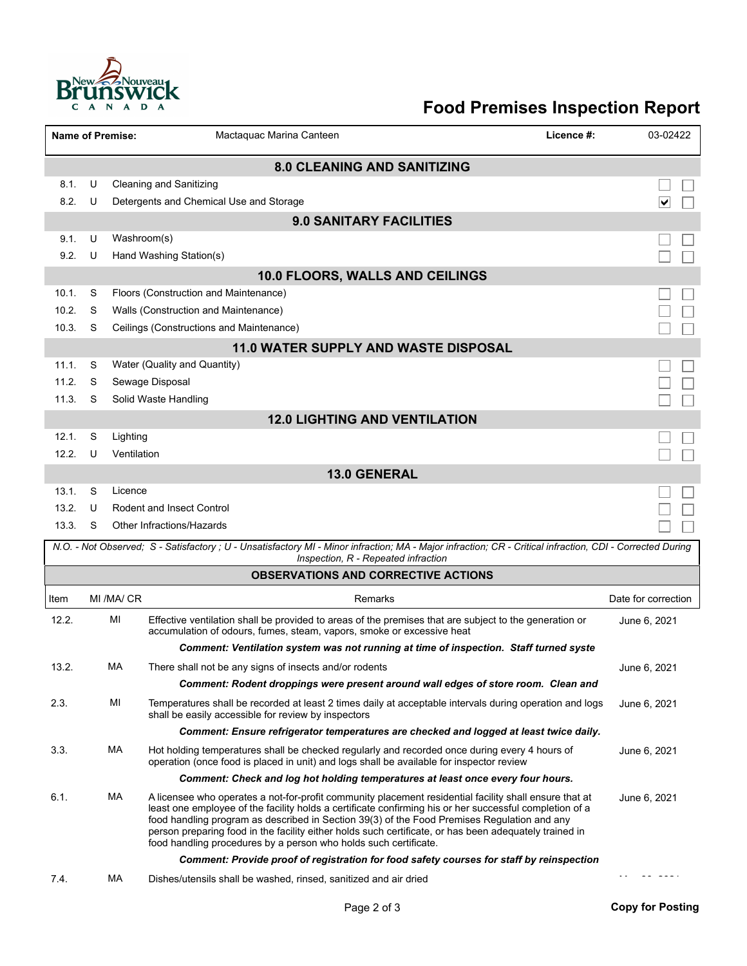

## **Food Premises Inspection Report**

|                                    |   | <b>Name of Premise:</b> | Mactaquac Marina Canteen                                                                                                                                                                                                                                                                                                                                                                                                                                                                       | Licence #: | 03-02422            |  |  |  |  |
|------------------------------------|---|-------------------------|------------------------------------------------------------------------------------------------------------------------------------------------------------------------------------------------------------------------------------------------------------------------------------------------------------------------------------------------------------------------------------------------------------------------------------------------------------------------------------------------|------------|---------------------|--|--|--|--|
| <b>8.0 CLEANING AND SANITIZING</b> |   |                         |                                                                                                                                                                                                                                                                                                                                                                                                                                                                                                |            |                     |  |  |  |  |
| 8.1.                               | U |                         | <b>Cleaning and Sanitizing</b>                                                                                                                                                                                                                                                                                                                                                                                                                                                                 |            |                     |  |  |  |  |
| 8.2.                               | U |                         | Detergents and Chemical Use and Storage                                                                                                                                                                                                                                                                                                                                                                                                                                                        |            | ∨                   |  |  |  |  |
|                                    |   |                         | <b>9.0 SANITARY FACILITIES</b>                                                                                                                                                                                                                                                                                                                                                                                                                                                                 |            |                     |  |  |  |  |
| 9.1.                               | U | Washroom(s)             |                                                                                                                                                                                                                                                                                                                                                                                                                                                                                                |            |                     |  |  |  |  |
| 9.2.                               | U |                         | Hand Washing Station(s)                                                                                                                                                                                                                                                                                                                                                                                                                                                                        |            |                     |  |  |  |  |
|                                    |   |                         | 10.0 FLOORS, WALLS AND CEILINGS                                                                                                                                                                                                                                                                                                                                                                                                                                                                |            |                     |  |  |  |  |
| 10.1.                              | S |                         | Floors (Construction and Maintenance)                                                                                                                                                                                                                                                                                                                                                                                                                                                          |            |                     |  |  |  |  |
| 10.2.                              | S |                         | Walls (Construction and Maintenance)                                                                                                                                                                                                                                                                                                                                                                                                                                                           |            |                     |  |  |  |  |
| 10.3.                              | S |                         | Ceilings (Constructions and Maintenance)                                                                                                                                                                                                                                                                                                                                                                                                                                                       |            |                     |  |  |  |  |
|                                    |   |                         | 11.0 WATER SUPPLY AND WASTE DISPOSAL                                                                                                                                                                                                                                                                                                                                                                                                                                                           |            |                     |  |  |  |  |
| 11.1.                              | S |                         | Water (Quality and Quantity)                                                                                                                                                                                                                                                                                                                                                                                                                                                                   |            |                     |  |  |  |  |
| 11.2.                              | S |                         | Sewage Disposal                                                                                                                                                                                                                                                                                                                                                                                                                                                                                |            |                     |  |  |  |  |
| 11.3.                              | S |                         | Solid Waste Handling                                                                                                                                                                                                                                                                                                                                                                                                                                                                           |            |                     |  |  |  |  |
|                                    |   |                         | <b>12.0 LIGHTING AND VENTILATION</b>                                                                                                                                                                                                                                                                                                                                                                                                                                                           |            |                     |  |  |  |  |
| 12.1.                              | S | Lighting                |                                                                                                                                                                                                                                                                                                                                                                                                                                                                                                |            |                     |  |  |  |  |
| 12.2.                              | U | Ventilation             |                                                                                                                                                                                                                                                                                                                                                                                                                                                                                                |            |                     |  |  |  |  |
|                                    |   |                         | <b>13.0 GENERAL</b>                                                                                                                                                                                                                                                                                                                                                                                                                                                                            |            |                     |  |  |  |  |
| 13.1.                              | S | Licence                 |                                                                                                                                                                                                                                                                                                                                                                                                                                                                                                |            |                     |  |  |  |  |
| 13.2.                              | U |                         | <b>Rodent and Insect Control</b>                                                                                                                                                                                                                                                                                                                                                                                                                                                               |            |                     |  |  |  |  |
| 13.3.                              | S |                         | Other Infractions/Hazards                                                                                                                                                                                                                                                                                                                                                                                                                                                                      |            |                     |  |  |  |  |
|                                    |   |                         | N.O. - Not Observed; S - Satisfactory ; U - Unsatisfactory MI - Minor infraction; MA - Major infraction; CR - Critical infraction, CDI - Corrected During<br>Inspection, R - Repeated infraction                                                                                                                                                                                                                                                                                               |            |                     |  |  |  |  |
|                                    |   |                         | <b>OBSERVATIONS AND CORRECTIVE ACTIONS</b>                                                                                                                                                                                                                                                                                                                                                                                                                                                     |            |                     |  |  |  |  |
| Item                               |   | MI /MA/ CR              | Remarks                                                                                                                                                                                                                                                                                                                                                                                                                                                                                        |            | Date for correction |  |  |  |  |
| 12.2.                              |   | MI                      | Effective ventilation shall be provided to areas of the premises that are subject to the generation or<br>accumulation of odours, fumes, steam, vapors, smoke or excessive heat                                                                                                                                                                                                                                                                                                                |            | June 6, 2021        |  |  |  |  |
|                                    |   |                         | Comment: Ventilation system was not running at time of inspection. Staff turned syste                                                                                                                                                                                                                                                                                                                                                                                                          |            |                     |  |  |  |  |
| 13.2.                              |   | <b>MA</b>               | There shall not be any signs of insects and/or rodents                                                                                                                                                                                                                                                                                                                                                                                                                                         |            | June 6, 2021        |  |  |  |  |
|                                    |   |                         | Comment: Rodent droppings were present around wall edges of store room. Clean and                                                                                                                                                                                                                                                                                                                                                                                                              |            |                     |  |  |  |  |
| 2.3.                               |   | MI                      | Temperatures shall be recorded at least 2 times daily at acceptable intervals during operation and logs<br>shall be easily accessible for review by inspectors                                                                                                                                                                                                                                                                                                                                 |            | June 6, 2021        |  |  |  |  |
|                                    |   |                         | Comment: Ensure refrigerator temperatures are checked and logged at least twice daily.                                                                                                                                                                                                                                                                                                                                                                                                         |            |                     |  |  |  |  |
| 3.3.                               |   | МA                      | Hot holding temperatures shall be checked regularly and recorded once during every 4 hours of<br>operation (once food is placed in unit) and logs shall be available for inspector review                                                                                                                                                                                                                                                                                                      |            | June 6, 2021        |  |  |  |  |
|                                    |   |                         | Comment: Check and log hot holding temperatures at least once every four hours.                                                                                                                                                                                                                                                                                                                                                                                                                |            |                     |  |  |  |  |
| 6.1.                               |   | МA                      | A licensee who operates a not-for-profit community placement residential facility shall ensure that at<br>least one employee of the facility holds a certificate confirming his or her successful completion of a<br>food handling program as described in Section 39(3) of the Food Premises Regulation and any<br>person preparing food in the facility either holds such certificate, or has been adequately trained in<br>food handling procedures by a person who holds such certificate. |            | June 6, 2021        |  |  |  |  |
|                                    |   |                         | Comment: Provide proof of registration for food safety courses for staff by reinspection                                                                                                                                                                                                                                                                                                                                                                                                       |            |                     |  |  |  |  |
| 7.4.                               |   | МA                      | Dishes/utensils shall be washed, rinsed, sanitized and air dried                                                                                                                                                                                                                                                                                                                                                                                                                               |            |                     |  |  |  |  |